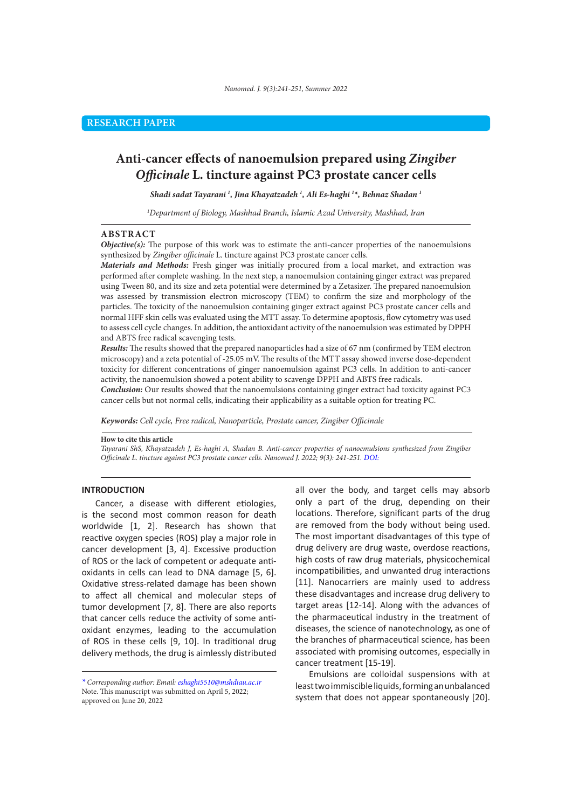# **Anti-cancer effects of nanoemulsion prepared using** *Zingiber Officinale* **L. tincture against PC3 prostate cancer cells**

*Shadi sadat Tayarani 1 , Jina Khayatzadeh 1 , Ali Es-haghi 1 \*, Behnaz Shadan 1*

*1 Department of Biology, Mashhad Branch, Islamic Azad University, Mashhad, Iran*

#### **ABSTRACT**

*Objective(s):* The purpose of this work was to estimate the anti-cancer properties of the nanoemulsions synthesized by *Zingiber officinale* L. tincture against PC3 prostate cancer cells.

*Materials and Methods:* Fresh ginger was initially procured from a local market, and extraction was performed after complete washing. In the next step, a nanoemulsion containing ginger extract was prepared using Tween 80, and its size and zeta potential were determined by a Zetasizer. The prepared nanoemulsion was assessed by transmission electron microscopy (TEM) to confirm the size and morphology of the particles. The toxicity of the nanoemulsion containing ginger extract against PC3 prostate cancer cells and normal HFF skin cells was evaluated using the MTT assay. To determine apoptosis, flow cytometry was used to assess cell cycle changes. In addition, the antioxidant activity of the nanoemulsion was estimated by DPPH and ABTS free radical scavenging tests.

*Results:* The results showed that the prepared nanoparticles had a size of 67 nm (confirmed by TEM electron microscopy) and a zeta potential of -25.05 mV. The results of the MTT assay showed inverse dose-dependent toxicity for different concentrations of ginger nanoemulsion against PC3 cells. In addition to anti-cancer activity, the nanoemulsion showed a potent ability to scavenge DPPH and ABTS free radicals.

*Conclusion:* Our results showed that the nanoemulsions containing ginger extract had toxicity against PC3 cancer cells but not normal cells, indicating their applicability as a suitable option for treating PC.

*Keywords: Cell cycle, Free radical, Nanoparticle, Prostate cancer, Zingiber Officinale* 

#### **How to cite this article**

*Tayarani ShS, Khayatzadeh J, Es-haghi A, Shadan B. Anti-cancer properties of nanoemulsions synthesized from Zingiber Officinale L. tincture against PC3 prostate cancer cells. Nanomed J. 2022; 9(3): 241-251. DOI:* 

### **INTRODUCTION**

Cancer, a disease with different etiologies, is the second most common reason for death worldwide [1, 2]. Research has shown that reactive oxygen species (ROS) play a major role in cancer development [3, 4]. Excessive production of ROS or the lack of competent or adequate antioxidants in cells can lead to DNA damage [5, 6]. Oxidative stress-related damage has been shown to affect all chemical and molecular steps of tumor development [7, 8]. There are also reports that cancer cells reduce the activity of some antioxidant enzymes, leading to the accumulation of ROS in these cells [9, 10]. In traditional drug delivery methods, the drug is aimlessly distributed

all over the body, and target cells may absorb only a part of the drug, depending on their locations. Therefore, significant parts of the drug are removed from the body without being used. The most important disadvantages of this type of drug delivery are drug waste, overdose reactions, high costs of raw drug materials, physicochemical incompatibilities, and unwanted drug interactions [11]. Nanocarriers are mainly used to address these disadvantages and increase drug delivery to target areas [12-14]. Along with the advances of the pharmaceutical industry in the treatment of diseases, the science of nanotechnology, as one of the branches of pharmaceutical science, has been associated with promising outcomes, especially in cancer treatment [15-19].

Emulsions are colloidal suspensions with at least two immiscible liquids, forming an unbalanced system that does not appear spontaneously [20].

*<sup>\*</sup> Corresponding author: Email: eshaghi5510@mshdiau.ac.ir* Note. This manuscript was submitted on April 5, 2022; approved on June 20, 2022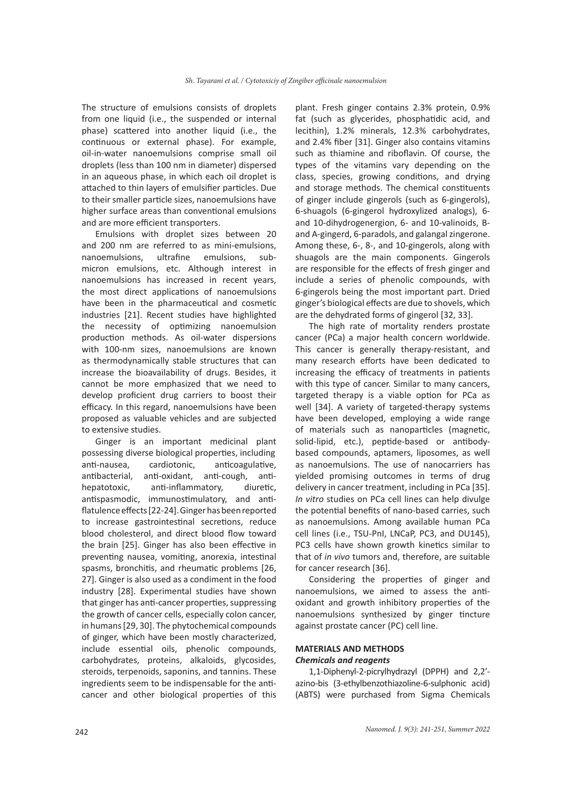The structure of emulsions consists of droplets from one liquid (i.e., the suspended or internal phase) scattered into another liquid (i.e., the continuous or external phase). For example, oil-in-water nanoemulsions comprise small oil droplets (less than 100 nm in diameter) dispersed in an aqueous phase, in which each oil droplet is attached to thin layers of emulsifier particles. Due to their smaller particle sizes, nanoemulsions have higher surface areas than conventional emulsions and are more efficient transporters.

Emulsions with droplet sizes between 20 and 200 nm are referred to as mini-emulsions, nanoemulsions, ultrafine emulsions, submicron emulsions, etc. Although interest in nanoemulsions has increased in recent years, the most direct applications of nanoemulsions have been in the pharmaceutical and cosmetic industries [21]. Recent studies have highlighted the necessity of optimizing nanoemulsion production methods. As oil-water dispersions with 100-nm sizes, nanoemulsions are known as thermodynamically stable structures that can increase the bioavailability of drugs. Besides, it cannot be more emphasized that we need to develop proficient drug carriers to boost their efficacy. In this regard, nanoemulsions have been proposed as valuable vehicles and are subjected to extensive studies.

Ginger is an important medicinal plant possessing diverse biological properties, including anti-nausea, cardiotonic, anticoagulative, antibacterial, anti-oxidant, anti-cough, antihepatotoxic, anti-inflammatory, diuretic, antispasmodic, immunostimulatory, and antiflatulence effects [22-24]. Ginger has been reported to increase gastrointestinal secretions, reduce blood cholesterol, and direct blood flow toward the brain [25]. Ginger has also been effective in preventing nausea, vomiting, anorexia, intestinal spasms, bronchitis, and rheumatic problems [26, 27]. Ginger is also used as a condiment in the food industry [28]. Experimental studies have shown that ginger has anti-cancer properties, suppressing the growth of cancer cells, especially colon cancer, in humans [29, 30]. The phytochemical compounds of ginger, which have been mostly characterized, include essential oils, phenolic compounds, carbohydrates, proteins, alkaloids, glycosides, steroids, terpenoids, saponins, and tannins. These ingredients seem to be indispensable for the anticancer and other biological properties of this plant. Fresh ginger contains 2.3% protein, 0.9% fat (such as glycerides, phosphatidic acid, and lecithin), 1.2% minerals, 12.3% carbohydrates, and 2.4% fiber [31]. Ginger also contains vitamins such as thiamine and riboflavin. Of course, the types of the vitamins vary depending on the class, species, growing conditions, and drying and storage methods. The chemical constituents of ginger include gingerols (such as 6-gingerols), 6-shuagols (6-gingerol hydroxylized analogs), 6 and 10-dihydrogenergion, 6- and 10-valinoids, Band A-gingerd, 6-paradols, and galangal zingerone. Among these, 6-, 8-, and 10-gingerols, along with shuagols are the main components. Gingerols are responsible for the effects of fresh ginger and include a series of phenolic compounds, with 6-gingerols being the most important part. Dried ginger's biological effects are due to shovels, which are the dehydrated forms of gingerol [32, 33].

The high rate of mortality renders prostate cancer (PCa) a major health concern worldwide. This cancer is generally therapy-resistant, and many research efforts have been dedicated to increasing the efficacy of treatments in patients with this type of cancer. Similar to many cancers, targeted therapy is a viable option for PCa as well [34]. A variety of targeted-therapy systems have been developed, employing a wide range of materials such as nanoparticles (magnetic, solid-lipid, etc.), peptide-based or antibodybased compounds, aptamers, liposomes, as well as nanoemulsions. The use of nanocarriers has yielded promising outcomes in terms of drug delivery in cancer treatment, including in PCa [35]. *In vitro* studies on PCa cell lines can help divulge the potential benefits of nano-based carries, such as nanoemulsions. Among available human PCa cell lines (i.e., TSU-PnI, LNCaP, PC3, and DU145), PC3 cells have shown growth kinetics similar to that of *in vivo* tumors and, therefore, are suitable for cancer research [36].

Considering the properties of ginger and nanoemulsions, we aimed to assess the antioxidant and growth inhibitory properties of the nanoemulsions synthesized by ginger tincture against prostate cancer (PC) cell line.

# **MATERIALS AND METHODS**  *Chemicals and reagents*

1,1-Diphenyl-2-picrylhydrazyl (DPPH) and 2,2ʹazino-bis (3-ethylbenzothiazoline-6-sulphonic acid) (ABTS) were purchased from Sigma Chemicals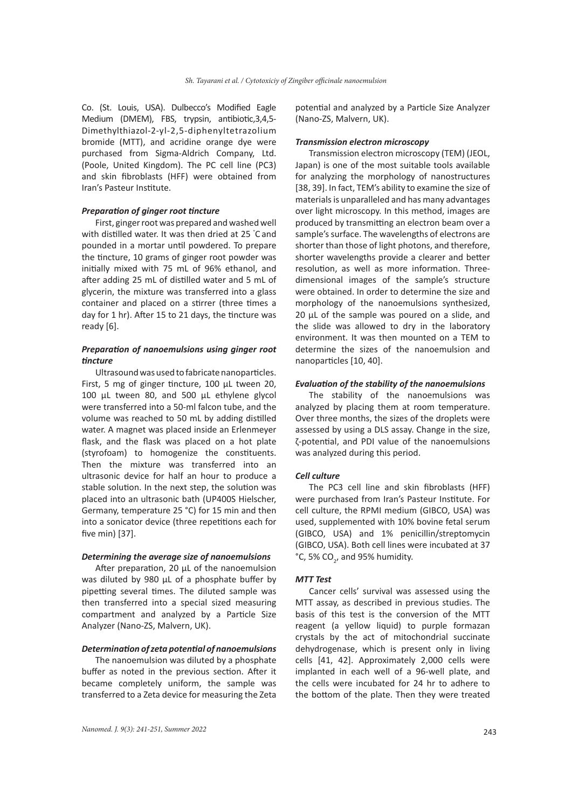Co. (St. Louis, USA). Dulbecco's Modified Eagle Medium (DMEM), FBS, trypsin, antibiotic,3,4,5- Dimethylthiazol-2-yl-2,5-diphenyltetrazolium bromide (MTT), and acridine orange dye were purchased from Sigma-Aldrich Company, Ltd. (Poole, United Kingdom). The PC cell line (PC3) and skin fibroblasts (HFF) were obtained from Iran's Pasteur Institute.

### *Preparation of ginger root tincture*

First, ginger root was prepared and washed well with distilled water. It was then dried at 25 ° C and pounded in a mortar until powdered. To prepare the tincture, 10 grams of ginger root powder was initially mixed with 75 mL of 96% ethanol, and after adding 25 mL of distilled water and 5 mL of glycerin, the mixture was transferred into a glass container and placed on a stirrer (three times a day for 1 hr). After 15 to 21 days, the tincture was ready [6].

### *Preparation of nanoemulsions using ginger root tincture*

Ultrasound was used to fabricate nanoparticles. First, 5 mg of ginger tincture, 100 μL tween 20, 100 μL tween 80, and 500 μL ethylene glycol were transferred into a 50-ml falcon tube, and the volume was reached to 50 mL by adding distilled water. A magnet was placed inside an Erlenmeyer flask, and the flask was placed on a hot plate (styrofoam) to homogenize the constituents. Then the mixture was transferred into an ultrasonic device for half an hour to produce a stable solution. In the next step, the solution was placed into an ultrasonic bath (UP400S Hielscher, Germany, temperature 25 °C) for 15 min and then into a sonicator device (three repetitions each for five min) [37].

### *Determining the average size of nanoemulsions*

After preparation, 20 μL of the nanoemulsion was diluted by 980 μL of a phosphate buffer by pipetting several times. The diluted sample was then transferred into a special sized measuring compartment and analyzed by a Particle Size Analyzer (Nano-ZS, Malvern, UK).

## *Determination of zeta potential of nanoemulsions*

The nanoemulsion was diluted by a phosphate buffer as noted in the previous section. After it became completely uniform, the sample was transferred to a Zeta device for measuring the Zeta potential and analyzed by a Particle Size Analyzer (Nano-ZS, Malvern, UK).

### *Transmission electron microscopy*

Transmission electron microscopy (TEM) (JEOL, Japan) is one of the most suitable tools available for analyzing the morphology of nanostructures [38, 39]. In fact, TEM's ability to examine the size of materials is unparalleled and has many advantages over light microscopy. In this method, images are produced by transmitting an electron beam over a sample's surface. The wavelengths of electrons are shorter than those of light photons, and therefore, shorter wavelengths provide a clearer and better resolution, as well as more information. Threedimensional images of the sample's structure were obtained. In order to determine the size and morphology of the nanoemulsions synthesized, 20 μL of the sample was poured on a slide, and the slide was allowed to dry in the laboratory environment. It was then mounted on a TEM to determine the sizes of the nanoemulsion and nanoparticles [10, 40].

### *Evaluation of the stability of the nanoemulsions*

The stability of the nanoemulsions was analyzed by placing them at room temperature. Over three months, the sizes of the droplets were assessed by using a DLS assay. Change in the size, ζ-potential, and PDI value of the nanoemulsions was analyzed during this period.

### *Cell culture*

The PC3 cell line and skin fibroblasts (HFF) were purchased from Iran's Pasteur Institute. For cell culture, the RPMI medium (GIBCO, USA) was used, supplemented with 10% bovine fetal serum (GIBCO, USA) and 1% penicillin/streptomycin (GIBCO, USA). Both cell lines were incubated at 37 °C, 5% CO<sub>2</sub>, and 95% humidity.

### *MTT Test*

Cancer cells' survival was assessed using the MTT assay, as described in previous studies. The basis of this test is the conversion of the MTT reagent (a yellow liquid) to purple formazan crystals by the act of mitochondrial succinate dehydrogenase, which is present only in living cells [41, 42]. Approximately 2,000 cells were implanted in each well of a 96-well plate, and the cells were incubated for 24 hr to adhere to the bottom of the plate. Then they were treated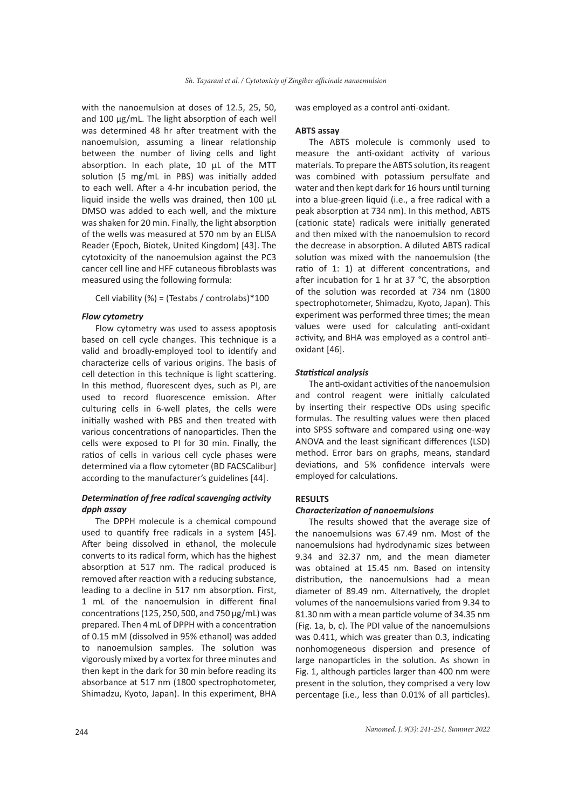with the nanoemulsion at doses of 12.5, 25, 50, and 100 μg/mL. The light absorption of each well was determined 48 hr after treatment with the nanoemulsion, assuming a linear relationship between the number of living cells and light absorption. In each plate, 10 μL of the MTT solution (5 mg/mL in PBS) was initially added to each well. After a 4-hr incubation period, the liquid inside the wells was drained, then 100 μL DMSO was added to each well, and the mixture was shaken for 20 min. Finally, the light absorption of the wells was measured at 570 nm by an ELISA Reader (Epoch, Biotek, United Kingdom) [43]. The cytotoxicity of the nanoemulsion against the PC3 cancer cell line and HFF cutaneous fibroblasts was measured using the following formula:

Cell viability (%) = (Testabs / controlabs)\*100

### *Flow cytometry*

Flow cytometry was used to assess apoptosis based on cell cycle changes. This technique is a valid and broadly-employed tool to identify and characterize cells of various origins. The basis of cell detection in this technique is light scattering. In this method, fluorescent dyes, such as PI, are used to record fluorescence emission. After culturing cells in 6-well plates, the cells were initially washed with PBS and then treated with various concentrations of nanoparticles. Then the cells were exposed to PI for 30 min. Finally, the ratios of cells in various cell cycle phases were determined via a flow cytometer (BD FACSCalibur] according to the manufacturer's guidelines [44].

## *Determination of free radical scavenging activity dpph assay*

The DPPH molecule is a chemical compound used to quantify free radicals in a system [45]. After being dissolved in ethanol, the molecule converts to its radical form, which has the highest absorption at 517 nm. The radical produced is removed after reaction with a reducing substance, leading to a decline in 517 nm absorption. First, 1 mL of the nanoemulsion in different final concentrations (125, 250, 500, and 750 μg/mL) was prepared. Then 4 mL of DPPH with a concentration of 0.15 mM (dissolved in 95% ethanol) was added to nanoemulsion samples. The solution was vigorously mixed by a vortex for three minutes and then kept in the dark for 30 min before reading its absorbance at 517 nm (1800 spectrophotometer, Shimadzu, Kyoto, Japan). In this experiment, BHA

was employed as a control anti-oxidant.

#### **ABTS assay**

The ABTS molecule is commonly used to measure the anti-oxidant activity of various materials. To prepare the ABTS solution, its reagent was combined with potassium persulfate and water and then kept dark for 16 hours until turning into a blue-green liquid (i.e., a free radical with a peak absorption at 734 nm). In this method, ABTS (cationic state) radicals were initially generated and then mixed with the nanoemulsion to record the decrease in absorption. A diluted ABTS radical solution was mixed with the nanoemulsion (the ratio of 1: 1) at different concentrations, and after incubation for 1 hr at 37 °C, the absorption of the solution was recorded at 734 nm (1800 spectrophotometer, Shimadzu, Kyoto, Japan). This experiment was performed three times; the mean values were used for calculating anti-oxidant activity, and BHA was employed as a control antioxidant [46].

### *Statistical analysis*

The anti-oxidant activities of the nanoemulsion and control reagent were initially calculated by inserting their respective ODs using specific formulas. The resulting values were then placed into SPSS software and compared using one-way ANOVA and the least significant differences (LSD) method. Error bars on graphs, means, standard deviations, and 5% confidence intervals were employed for calculations.

### **RESULTS**

### *Characterization of nanoemulsions*

The results showed that the average size of the nanoemulsions was 67.49 nm. Most of the nanoemulsions had hydrodynamic sizes between 9.34 and 32.37 nm, and the mean diameter was obtained at 15.45 nm. Based on intensity distribution, the nanoemulsions had a mean diameter of 89.49 nm. Alternatively, the droplet volumes of the nanoemulsions varied from 9.34 to 81.30 nm with a mean particle volume of 34.35 nm (Fig. 1a, b, c). The PDI value of the nanoemulsions was 0.411, which was greater than 0.3, indicating nonhomogeneous dispersion and presence of large nanoparticles in the solution. As shown in Fig. 1, although particles larger than 400 nm were present in the solution, they comprised a very low percentage (i.e., less than 0.01% of all particles).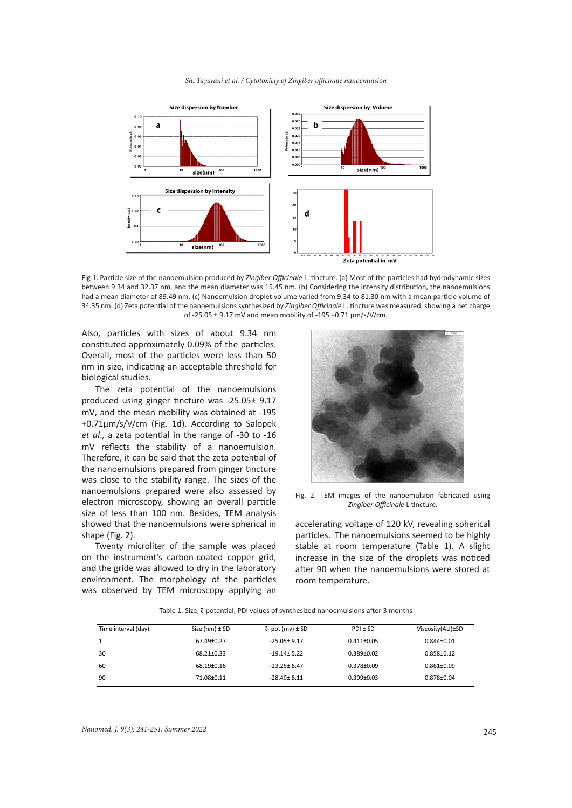

Fig 1. Particle size of the nanoemulsion produced by *Zingiber Officinale* L. tincture. (a) Most of the particles had hydrodynamic sizes between 9.34 and 32.37 nm, and the mean diameter was 15.45 nm. (b) Considering the intensity distribution, the nanoemulsions had a mean diameter of 89.49 nm. (c) Nanoemulsion droplet volume varied from 9.34 to 81.30 nm with a mean particle volume of 34.35 nm. (d) Zeta potential of the nanoemulsions synthesized by *Zingiber Officinale* L. tincture was measured, showing a net charge of -25.05 ± 9.17 mV and mean mobility of -195 +0.71 µm/s/V/cm.

Also, particles with sizes of about 9.34 nm constituted approximately 0.09% of the particles. Overall, most of the particles were less than 50 nm in size, indicating an acceptable threshold for biological studies.

The zeta potential of the nanoemulsions produced using ginger tincture was -25.05± 9.17 mV, and the mean mobility was obtained at -195 +0.71µm/s/V/cm (Fig. 1d). According to Salopek *et al*., a zeta potential in the range of -30 to -16 mV reflects the stability of a nanoemulsion. Therefore, it can be said that the zeta potential of the nanoemulsions prepared from ginger tincture was close to the stability range. The sizes of the nanoemulsions prepared were also assessed by electron microscopy, showing an overall particle size of less than 100 nm. Besides, TEM analysis showed that the nanoemulsions were spherical in shape (Fig. 2).

Twenty microliter of the sample was placed on the instrument's carbon-coated copper grid, and the gride was allowed to dry in the laboratory environment. The morphology of the particles was observed by TEM microscopy applying an



Fig. 2. TEM images of the nanoemulsion fabricated using *Zingiber Officinale* L tincture.

accelerating voltage of 120 kV, revealing spherical particles. The nanoemulsions seemed to be highly stable at room temperature (Table 1). A slight increase in the size of the droplets was noticed after 90 when the nanoemulsions were stored at room temperature.

Table 1. Size, ζ-potential, PDI values of synthesized nanoemulsions after 3 months

| Time interval (day) | Size $(nm) \pm SD$ | $\zeta$ - pot (mv) ± SD | $PDI \pm SD$     | Viscosity(AU)±SD |
|---------------------|--------------------|-------------------------|------------------|------------------|
|                     | 67.49±0.27         | $-25.05 \pm 9.17$       | $0.411 \pm 0.05$ | $0.844 + 0.01$   |
| 30                  | 68.21±0.33         | $-19.14 \pm 5.22$       | $0.389 + 0.02$   | $0.858 + 0.12$   |
| 60                  | 68.19±0.16         | $-23.25 \pm 6.47$       | $0.378 + 0.09$   | $0.861 \pm 0.09$ |
| 90                  | 71.08±0.11         | $-28.49 \pm 8.11$       | $0.399 + 0.03$   | $0.878 + 0.04$   |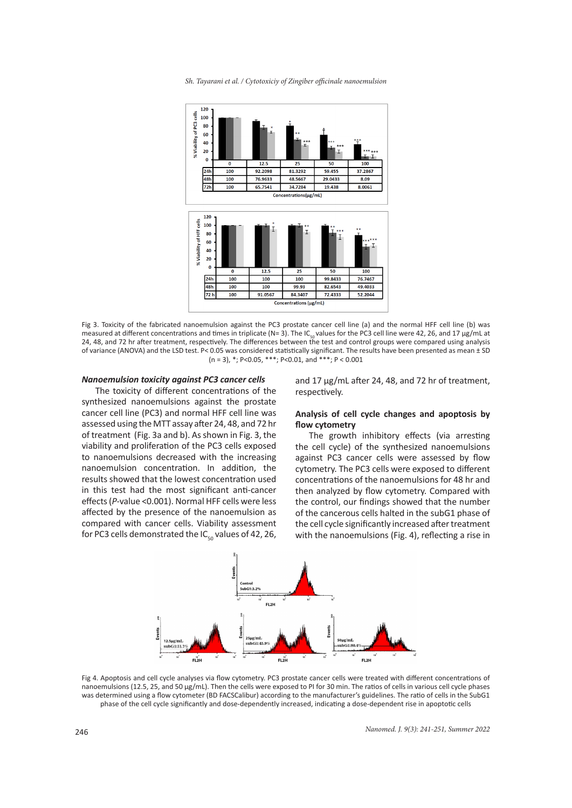*Sh. Tayarani et al. / Cytotoxiciy of Zingiber officinale nanoemulsion*



Fig 3. Toxicity of the fabricated nanoemulsion against the PC3 prostate cancer cell line (a) and the normal HFF cell line (b) was measured at different concentrations and times in triplicate (N= 3). The IC<sub>so</sub>values for the PC3 cell line were 42, 26, and 17 μg/mL at<br>24, 48, and 72 hr after treatment, respectively. The differences between the test an of variance (ANOVA) and the LSD test. P< 0.05 was considered statistically significant. The results have been presented as mean ± SD  $(n = 3)$ , \*; P<0.05, \*\*\*; P<0.01, and \*\*\*; P < 0.001

### *Nanoemulsion toxicity against PC3 cancer cells*

The toxicity of different concentrations of the synthesized nanoemulsions against the prostate cancer cell line (PC3) and normal HFF cell line was assessed using the MTT assay after 24, 48, and 72 hr of treatment (Fig. 3a and b). As shown in Fig. 3, the viability and proliferation of the PC3 cells exposed to nanoemulsions decreased with the increasing nanoemulsion concentration. In addition, the results showed that the lowest concentration used in this test had the most significant anti-cancer effects (*P*-value <0.001). Normal HFF cells were less affected by the presence of the nanoemulsion as compared with cancer cells. Viability assessment for PC3 cells demonstrated the  $IC_{50}$  values of 42, 26, and 17 µg/mL after 24, 48, and 72 hr of treatment, respectively.

# **Analysis of cell cycle changes and apoptosis by flow cytometry**

The growth inhibitory effects (via arresting the cell cycle) of the synthesized nanoemulsions against PC3 cancer cells were assessed by flow cytometry. The PC3 cells were exposed to different concentrations of the nanoemulsions for 48 hr and then analyzed by flow cytometry. Compared with the control, our findings showed that the number of the cancerous cells halted in the subG1 phase of the cell cycle significantly increased after treatment with the nanoemulsions (Fig. 4), reflecting a rise in



Fig 4. Apoptosis and cell cycle analyses via flow cytometry. PC3 prostate cancer cells were treated with different concentrations of nanoemulsions (12.5, 25, and 50 μg/mL). Then the cells were exposed to PI for 30 min. The ratios of cells in various cell cycle phases was determined using a flow cytometer (BD FACSCalibur) according to the manufacturer's guidelines. The ratio of cells in the SubG1 phase of the cell cycle significantly and dose-dependently increased, indicating a dose-dependent rise in apoptotic cells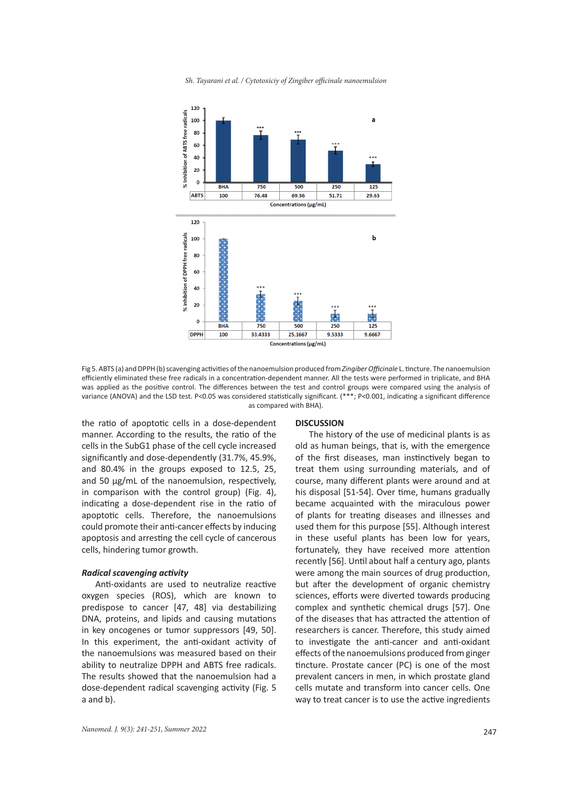*Sh. Tayarani et al. / Cytotoxiciy of Zingiber officinale nanoemulsion* 



Fig 5. ABTS (a) and DPPH (b) scavenging activities of the nanoemulsion produced from *Zingiber Officinale* L. tincture. The nanoemulsion efficiently eliminated these free radicals in a concentration-dependent manner. All the tests were performed in triplicate, and BHA was applied as the positive control. The differences between the test and control groups were compared using the analysis of variance (ANOVA) and the LSD test. P<0.05 was considered statistically significant. (\*\*\*; P<0.001, indicating a significant difference as compared with BHA).

the ratio of apoptotic cells in a dose-dependent manner. According to the results, the ratio of the cells in the SubG1 phase of the cell cycle increased significantly and dose-dependently (31.7%, 45.9%, and 80.4% in the groups exposed to 12.5, 25, and 50 μg/mL of the nanoemulsion, respectively, in comparison with the control group) (Fig. 4), indicating a dose-dependent rise in the ratio of apoptotic cells. Therefore, the nanoemulsions could promote their anti-cancer effects by inducing apoptosis and arresting the cell cycle of cancerous cells, hindering tumor growth.

#### *Radical scavenging activity*

Anti-oxidants are used to neutralize reactive oxygen species (ROS), which are known to predispose to cancer [47, 48] via destabilizing DNA, proteins, and lipids and causing mutations in key oncogenes or tumor suppressors [49, 50]. In this experiment, the anti-oxidant activity of the nanoemulsions was measured based on their ability to neutralize DPPH and ABTS free radicals. The results showed that the nanoemulsion had a dose-dependent radical scavenging activity (Fig. 5 a and b).

#### **DISCUSSION**

The history of the use of medicinal plants is as old as human beings, that is, with the emergence of the first diseases, man instinctively began to treat them using surrounding materials, and of course, many different plants were around and at his disposal [51-54]. Over time, humans gradually became acquainted with the miraculous power of plants for treating diseases and illnesses and used them for this purpose [55]. Although interest in these useful plants has been low for years, fortunately, they have received more attention recently [56]. Until about half a century ago, plants were among the main sources of drug production, but after the development of organic chemistry sciences, efforts were diverted towards producing complex and synthetic chemical drugs [57]. One of the diseases that has attracted the attention of researchers is cancer. Therefore, this study aimed to investigate the anti-cancer and anti-oxidant effects of the nanoemulsions produced from ginger tincture. Prostate cancer (PC) is one of the most prevalent cancers in men, in which prostate gland cells mutate and transform into cancer cells. One way to treat cancer is to use the active ingredients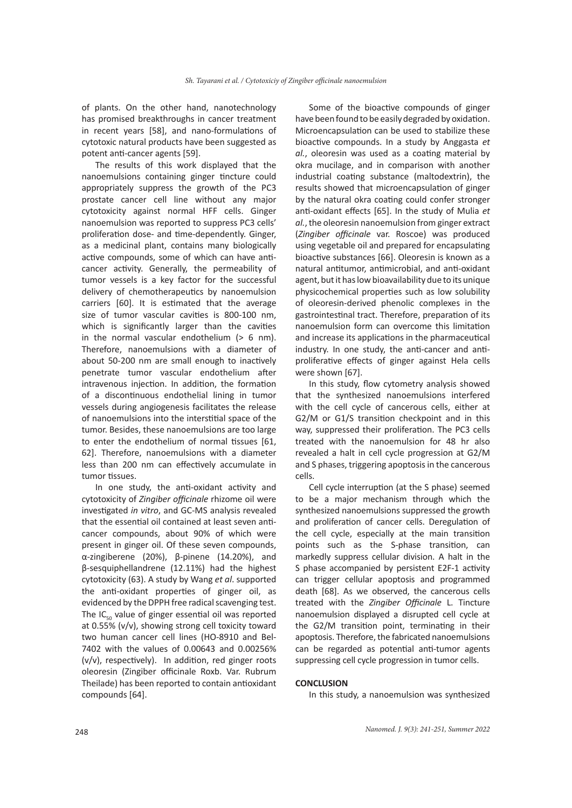of plants. On the other hand, nanotechnology has promised breakthroughs in cancer treatment in recent years [58], and nano-formulations of cytotoxic natural products have been suggested as potent anti-cancer agents [59].

The results of this work displayed that the nanoemulsions containing ginger tincture could appropriately suppress the growth of the PC3 prostate cancer cell line without any major cytotoxicity against normal HFF cells. Ginger nanoemulsion was reported to suppress PC3 cells' proliferation dose- and time-dependently. Ginger, as a medicinal plant, contains many biologically active compounds, some of which can have anticancer activity. Generally, the permeability of tumor vessels is a key factor for the successful delivery of chemotherapeutics by nanoemulsion carriers [60]. It is estimated that the average size of tumor vascular cavities is 800-100 nm, which is significantly larger than the cavities in the normal vascular endothelium  $(> 6$  nm). Therefore, nanoemulsions with a diameter of about 50-200 nm are small enough to inactively penetrate tumor vascular endothelium after intravenous injection. In addition, the formation of a discontinuous endothelial lining in tumor vessels during angiogenesis facilitates the release of nanoemulsions into the interstitial space of the tumor. Besides, these nanoemulsions are too large to enter the endothelium of normal tissues [61, 62]. Therefore, nanoemulsions with a diameter less than 200 nm can effectively accumulate in tumor tissues.

In one study, the anti-oxidant activity and cytotoxicity of *Zingiber officinale* rhizome oil were investigated *in vitro*, and GC-MS analysis revealed that the essential oil contained at least seven anticancer compounds, about 90% of which were present in ginger oil. Of these seven compounds, α-zingiberene (20%), β-pinene (14.20%), and β-sesquiphellandrene (12.11%) had the highest cytotoxicity (63). A study by Wang *et al*. supported the anti-oxidant properties of ginger oil, as evidenced by the DPPH free radical scavenging test. The  $IC_{50}$  value of ginger essential oil was reported at 0.55% (v/v), showing strong cell toxicity toward two human cancer cell lines (HO-8910 and Bel-7402 with the values of 0.00643 and 0.00256% (v/v), respectively). In addition, red ginger roots oleoresin (Zingiber officinale Roxb. Var. Rubrum Theilade) has been reported to contain antioxidant compounds [64].

Some of the bioactive compounds of ginger have been found to be easily degraded by oxidation. Microencapsulation can be used to stabilize these bioactive compounds. In a study by Anggasta *et al.*, oleoresin was used as a coating material by okra mucilage, and in comparison with another industrial coating substance (maltodextrin), the results showed that microencapsulation of ginger by the natural okra coating could confer stronger anti-oxidant effects [65]. In the study of Mulia *et al.*, the oleoresin nanoemulsion from ginger extract (*Zingiber officinale* var. Roscoe) was produced using vegetable oil and prepared for encapsulating bioactive substances [66]. Oleoresin is known as a natural antitumor, antimicrobial, and anti-oxidant agent, but it has low bioavailability due to its unique physicochemical properties such as low solubility of oleoresin-derived phenolic complexes in the gastrointestinal tract. Therefore, preparation of its nanoemulsion form can overcome this limitation and increase its applications in the pharmaceutical industry. In one study, the anti-cancer and antiproliferative effects of ginger against Hela cells were shown [67].

In this study, flow cytometry analysis showed that the synthesized nanoemulsions interfered with the cell cycle of cancerous cells, either at G2/M or G1/S transition checkpoint and in this way, suppressed their proliferation. The PC3 cells treated with the nanoemulsion for 48 hr also revealed a halt in cell cycle progression at G2/M and S phases, triggering apoptosis in the cancerous cells.

Cell cycle interruption (at the S phase) seemed to be a major mechanism through which the synthesized nanoemulsions suppressed the growth and proliferation of cancer cells. Deregulation of the cell cycle, especially at the main transition points such as the S-phase transition, can markedly suppress cellular division. A halt in the S phase accompanied by persistent E2F-1 activity can trigger cellular apoptosis and programmed death [68]. As we observed, the cancerous cells treated with the *Zingiber Officinale* L. Tincture nanoemulsion displayed a disrupted cell cycle at the G2/M transition point, terminating in their apoptosis. Therefore, the fabricated nanoemulsions can be regarded as potential anti-tumor agents suppressing cell cycle progression in tumor cells.

#### **CONCLUSION**

In this study, a nanoemulsion was synthesized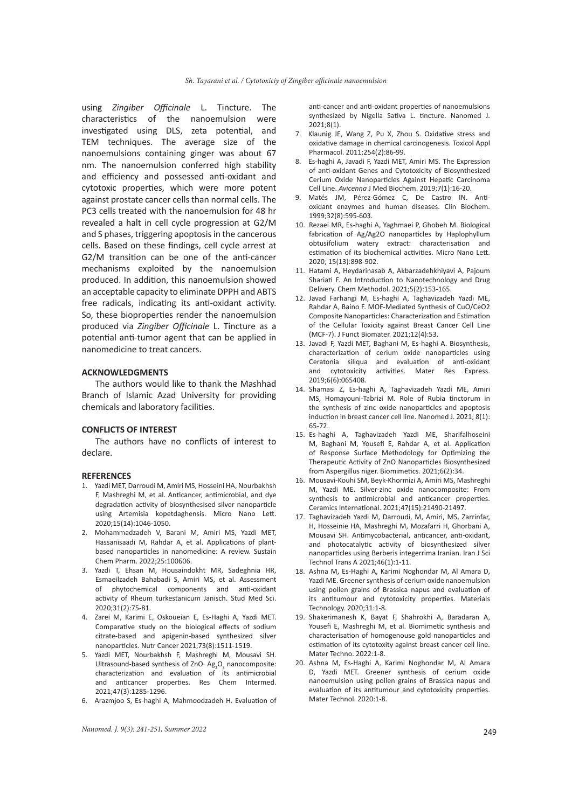using *Zingiber Officinale* L. Tincture. The characteristics of the nanoemulsion were investigated using DLS, zeta potential, and TEM techniques. The average size of the nanoemulsions containing ginger was about 67 nm. The nanoemulsion conferred high stability and efficiency and possessed anti-oxidant and cytotoxic properties, which were more potent against prostate cancer cells than normal cells. The PC3 cells treated with the nanoemulsion for 48 hr revealed a halt in cell cycle progression at G2/M and S phases, triggering apoptosis in the cancerous cells. Based on these findings, cell cycle arrest at G2/M transition can be one of the anti-cancer mechanisms exploited by the nanoemulsion produced. In addition, this nanoemulsion showed an acceptable capacity to eliminate DPPH and ABTS free radicals, indicating its anti-oxidant activity. So, these bioproperties render the nanoemulsion produced via *Zingiber Officinale* L. Tincture as a potential anti-tumor agent that can be applied in nanomedicine to treat cancers.

### **ACKNOWLEDGMENTS**

The authors would like to thank the Mashhad Branch of Islamic Azad University for providing chemicals and laboratory facilities.

### **CONFLICTS OF INTEREST**

The authors have no conflicts of interest to declare.

#### **REFERENCES**

- 1. Yazdi MET, Darroudi M, Amiri MS, Hosseini HA, Nourbakhsh F, Mashreghi M, et al. Anticancer, antimicrobial, and dye degradation activity of biosynthesised silver nanoparticle using Artemisia kopetdaghensis. Micro Nano Lett. 2020;15(14):1046-1050.
- 2. Mohammadzadeh V, Barani M, Amiri MS, Yazdi MET, Hassanisaadi M, Rahdar A, et al. Applications of plantbased nanoparticles in nanomedicine: A review. Sustain Chem Pharm. 2022;25:100606.
- 3. Yazdi T, Ehsan M, Housaindokht MR, Sadeghnia HR, Esmaeilzadeh Bahabadi S, Amiri MS, et al. Assessment of phytochemical components and anti-oxidant activity of Rheum turkestanicum Janisch. Stud Med Sci. 2020;31(2):75-81.
- 4. Zarei M, Karimi E, Oskoueian E, Es-Haghi A, Yazdi MET. Comparative study on the biological effects of sodium citrate-based and apigenin-based synthesized silver nanoparticles. Nutr Cancer 2021;73(8):1511-1519.
- 5. Yazdi MET, Nourbakhsh F, Mashreghi M, Mousavi SH. Ultrasound-based synthesis of ZnO $\cdot$  Ag<sub>2</sub>O<sub>3</sub> nanocomposite: characterization and evaluation of its antimicrobial and anticancer properties. Res Chem Intermed. 2021;47(3):1285-1296.
- 6. Arazmjoo S, Es-haghi A, Mahmoodzadeh H. Evaluation of

anti-cancer and anti-oxidant properties of nanoemulsions synthesized by Nigella Sativa L. tincture. Nanomed J.  $2021:8(1)$ 

- 7. Klaunig JE, Wang Z, Pu X, Zhou S. Oxidative stress and oxidative damage in chemical carcinogenesis. Toxicol Appl Pharmacol. 2011;254(2):86-99.
- 8. Es-haghi A, Javadi F, Yazdi MET, Amiri MS. The Expression of anti-oxidant Genes and Cytotoxicity of Biosynthesized Cerium Oxide Nanoparticles Against Hepatic Carcinoma Cell Line. *Avicenna* J Med Biochem. 2019;7(1):16-20.
- 9. Matés JM, Pérez-Gómez C, De Castro IN. Antioxidant enzymes and human diseases. Clin Biochem. 1999;32(8):595-603.
- 10. Rezaei MR, Es-haghi A, Yaghmaei P, Ghobeh M. Biological fabrication of Ag/Ag2O nanoparticles by Haplophyllum obtusifolium watery extract: characterisation and estimation of its biochemical activities. Micro Nano Lett. 2020; 15(13):898-902.
- 11. Hatami A, Heydarinasab A, Akbarzadehkhiyavi A, Pajoum Shariati F. An Introduction to Nanotechnology and Drug Delivery. Chem Methodol. 2021;5(2):153-165.
- 12. Javad Farhangi M, Es-haghi A, Taghavizadeh Yazdi ME, Rahdar A, Baino F. MOF-Mediated Synthesis of CuO/CeO2 Composite Nanoparticles: Characterization and Estimation of the Cellular Toxicity against Breast Cancer Cell Line (MCF-7). J Funct Biomater. 2021;12(4):53.
- 13. Javadi F, Yazdi MET, Baghani M, Es-haghi A. Biosynthesis, characterization of cerium oxide nanoparticles using Ceratonia siliqua and evaluation of anti-oxidant and cytotoxicity activities. Mater Res Express. 2019;6(6):065408.
- 14. Shamasi Z, Es-haghi A, Taghavizadeh Yazdi ME, Amiri MS, Homayouni-Tabrizi M. Role of Rubia tinctorum in the synthesis of zinc oxide nanoparticles and apoptosis induction in breast cancer cell line. Nanomed J. 2021; 8(1): 65-72.
- 15. Es-haghi A, Taghavizadeh Yazdi ME, Sharifalhoseini M, Baghani M, Yousefi E, Rahdar A, et al. Application of Response Surface Methodology for Optimizing the Therapeutic Activity of ZnO Nanoparticles Biosynthesized from Aspergillus niger. Biomimetics. 2021;6(2):34.
- 16. Mousavi-Kouhi SM, Beyk-Khormizi A, Amiri MS, Mashreghi M, Yazdi ME. Silver-zinc oxide nanocomposite: From synthesis to antimicrobial and anticancer properties. Ceramics International. 2021;47(15):21490-21497.
- 17. Taghavizadeh Yazdi M, Darroudi, M, Amiri, MS, Zarrinfar, H, Hosseinie HA, Mashreghi M, Mozafarri H, Ghorbani A, Mousavi SH. Antimycobacterial, anticancer, anti-oxidant, and photocatalytic activity of biosynthesized silver nanoparticles using Berberis integerrima Iranian. Iran J Sci Technol Trans A 2021;46(1):1-11.
- 18. Ashna M, Es-Haghi A, Karimi Noghondar M, Al Amara D, Yazdi ME. Greener synthesis of cerium oxide nanoemulsion using pollen grains of Brassica napus and evaluation of its antitumour and cytotoxicity properties. Materials Technology. 2020;31:1-8.
- 19. Shakerimanesh K, Bayat F, Shahrokhi A, Baradaran A, Yousefi E, Mashreghi M, et al. Biomimetic synthesis and characterisation of homogenouse gold nanoparticles and estimation of its cytotoxity against breast cancer cell line. Mater Techno. 2022:1-8.
- 20. Ashna M, Es-Haghi A, Karimi Noghondar M, Al Amara D, Yazdi MET. Greener synthesis of cerium oxide nanoemulsion using pollen grains of Brassica napus and evaluation of its antitumour and cytotoxicity properties. Mater Technol. 2020:1-8.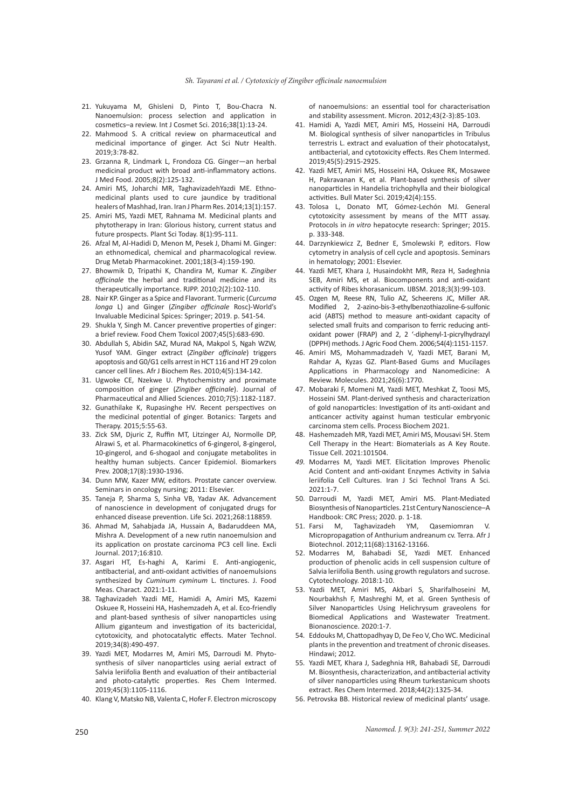- 21. Yukuyama M, Ghisleni D, Pinto T, Bou‐Chacra N. Nanoemulsion: process selection and application in cosmetics–a review. Int J Cosmet Sci. 2016;38[1):13-24.
- 22. Mahmood S. A critical review on pharmaceutical and medicinal importance of ginger. Act Sci Nutr Health. 2019;3:78-82.
- 23. Grzanna R, Lindmark L, Frondoza CG. Ginger—an herbal medicinal product with broad anti-inflammatory actions. J Med Food. 2005;8(2):125-132.
- 24. Amiri MS, Joharchi MR, TaghavizadehYazdi ME. Ethnomedicinal plants used to cure jaundice by traditional healers of Mashhad, Iran. Iran J Pharm Res. 2014;13[1):157.
- 25. Amiri MS, Yazdi MET, Rahnama M. Medicinal plants and phytotherapy in Iran: Glorious history, current status and future prospects. Plant Sci Today. 8(1):95-111.
- 26. Afzal Μ, Al-Hadidi D, Menon M, Pesek J, Dhami M. Ginger: an ethnomedical, chemical and pharmacological review. Drug Metab Pharmacokinet. 2001;18(3-4):159-190.
- 27. Bhowmik D, Tripathi K, Chandira M, Kumar K. *Zingiber officinale* the herbal and traditional medicine and its therapeutically importance. RJPP. 2010;2(2):102-110.
- 28. Nair KP. Ginger as a Spice and Flavorant. Turmeric (*Curcuma longa* L) and Ginger (*Zingiber officinale* Rosc)-World's Invaluable Medicinal Spices: Springer; 2019. p. 541-54.
- 29. Shukla Y, Singh M. Cancer preventive properties of ginger: a brief review. Food Chem Toxicol 2007;45(5):683-690.
- 30. Abdullah S, Abidin SAZ, Murad NA, Makpol S, Ngah WZW, Yusof YAM. Ginger extract (*Zingiber officinale*) triggers apoptosis and G0/G1 cells arrest in HCT 116 and HT 29 colon cancer cell lines. Afr J Biochem Res. 2010;4(5):134-142.
- 31. Ugwoke CE, Nzekwe U. Phytochemistry and proximate composition of ginger (*Zingiber officinale*). Journal of Pharmaceutical and Allied Sciences. 2010;7(5):1182-1187.
- 32. Gunathilake K, Rupasinghe HV. Recent perspectives on the medicinal potential of ginger. Botanics: Targets and Therapy. 2015;5:55-63.
- 33. Zick SM, Djuric Z, Ruffin MT, Litzinger AJ, Normolle DP, Alrawi S, et al. Pharmacokinetics of 6-gingerol, 8-gingerol, 10-gingerol, and 6-shogaol and conjugate metabolites in healthy human subjects. Cancer Epidemiol. Biomarkers Prev. 2008;17(8):1930-1936.
- 34. Dunn MW, Kazer MW, editors. Prostate cancer overview. Seminars in oncology nursing; 2011: Elsevier.
- 35. Taneja P, Sharma S, Sinha VB, Yadav AK. Advancement of nanoscience in development of conjugated drugs for enhanced disease prevention. Life Sci. 2021;268:118859.
- 36. Ahmad M, Sahabjada JA, Hussain A, Badaruddeen MA, Mishra A. Development of a new rutin nanoemulsion and its application on prostate carcinoma PC3 cell line. Excli Journal. 2017;16:810.
- 37*.* Asgari HT, Es-haghi A, Karimi E. Anti-angiogenic, antibacterial, and anti-oxidant activities of nanoemulsions synthesized by *Cuminum cyminum* L. tinctures. J. Food Meas. Charact. 2021:1-11.
- 38*.* Taghavizadeh Yazdi ME, Hamidi A, Amiri MS, Kazemi Oskuee R, Hosseini HA, Hashemzadeh A, et al. Eco-friendly and plant-based synthesis of silver nanoparticles using Allium giganteum and investigation of its bactericidal, cytotoxicity, and photocatalytic effects. Mater Technol. 2019;34(8):490-497.
- 39. Yazdi MET, Modarres M, Amiri MS, Darroudi M. Phytosynthesis of silver nanoparticles using aerial extract of Salvia leriifolia Benth and evaluation of their antibacterial and photo-catalytic properties. Res Chem Intermed. 2019;45(3):1105-1116.
- 40. Klang V, Matsko NB, Valenta C, Hofer F. Electron microscopy

of nanoemulsions: an essential tool for characterisation and stability assessment. Micron. 2012;43(2-3):85-103.

- 41. Hamidi A, Yazdi MET, Amiri MS, Hosseini HA, Darroudi M. Biological synthesis of silver nanoparticles in Tribulus terrestris L. extract and evaluation of their photocatalyst, antibacterial, and cytotoxicity effects. Res Chem Intermed. 2019;45(5):2915-2925.
- 42. Yazdi MET, Amiri MS, Hosseini HA, Oskuee RK, Mosawee H, Pakravanan K, et al. Plant-based synthesis of silver nanoparticles in Handelia trichophylla and their biological activities. Bull Mater Sci. 2019;42(4):155.
- 43. Tolosa L, Donato MT, Gómez-Lechón MJ. General cytotoxicity assessment by means of the MTT assay. Protocols in *in vitro* hepatocyte research: Springer; 2015. p. 333-348.
- 44. Darzynkiewicz Z, Bedner E, Smolewski P, editors. Flow cytometry in analysis of cell cycle and apoptosis. Seminars in hematology; 2001: Elsevier.
- 44. Yazdi MET, Khara J, Husaindokht MR, Reza H, Sadeghnia SEB, Amiri MS, et al. Biocomponents and anti-oxidant activity of Ribes khorasanicum. IJBSM. 2018;3(3):99-103.
- 45. Ozgen M, Reese RN, Tulio AZ, Scheerens JC, Miller AR. Modified 2, 2-azino-bis-3-ethylbenzothiazoline-6-sulfonic acid (ABTS) method to measure anti-oxidant capacity of selected small fruits and comparison to ferric reducing antioxidant power (FRAP) and 2, 2 '-diphenyl-1-picrylhydrazyl (DPPH) methods. J Agric Food Chem. 2006;54(4):1151-1157.
- 46. Amiri MS, Mohammadzadeh V, Yazdi MET, Barani M, Rahdar A, Kyzas GZ. Plant-Based Gums and Mucilages Applications in Pharmacology and Nanomedicine: A Review. Molecules. 2021;26(6):1770.
- 47. Mobaraki F, Momeni M, Yazdi MET, Meshkat Z, Toosi MS, Hosseini SM. Plant-derived synthesis and characterization of gold nanoparticles: Investigation of its anti-oxidant and anticancer activity against human testicular embryonic carcinoma stem cells. Process Biochem 2021.
- 48. Hashemzadeh MR, Yazdi MET, Amiri MS, Mousavi SH. Stem Cell Therapy in the Heart: Biomaterials as A Key Route. Tissue Cell. 2021:101504.
- *49.* Modarres M, Yazdi MET. Elicitation Improves Phenolic Acid Content and anti-oxidant Enzymes Activity in Salvia leriifolia Cell Cultures. Iran J Sci Technol Trans A Sci. 2021:1-7.
- 50*.* Darroudi M, Yazdi MET, Amiri MS. Plant-Mediated Biosynthesis of Nanoparticles. 21st Century Nanoscience–A Handbook: CRC Press; 2020. p. 1-18.
- 51. Farsi M, Taghavizadeh YM, Qasemiomran V. Micropropagation of Anthurium andreanum cv. Terra. Afr J Biotechnol. 2012;11(68):13162-13166.
- 52. Modarres M, Bahabadi SE, Yazdi MET. Enhanced production of phenolic acids in cell suspension culture of Salvia leriifolia Benth. using growth regulators and sucrose. Cytotechnology. 2018:1-10.
- 53. Yazdi MET, Amiri MS, Akbari S, Sharifalhoseini M, Nourbakhsh F, Mashreghi M, et al. Green Synthesis of Silver Nanoparticles Using Helichrysum graveolens for Biomedical Applications and Wastewater Treatment. Bionanoscience. 2020:1-7.
- 54*.* Eddouks M, Chattopadhyay D, De Feo V, Cho WC. Medicinal plants in the prevention and treatment of chronic diseases. Hindawi; 2012.
- 55*.* Yazdi MET, Khara J, Sadeghnia HR, Bahabadi SE, Darroudi M. Biosynthesis, characterization, and antibacterial activity of silver nanoparticles using Rheum turkestanicum shoots extract. Res Chem Intermed. 2018;44(2):1325-34.
- 56. Petrovska BB. Historical review of medicinal plants' usage.